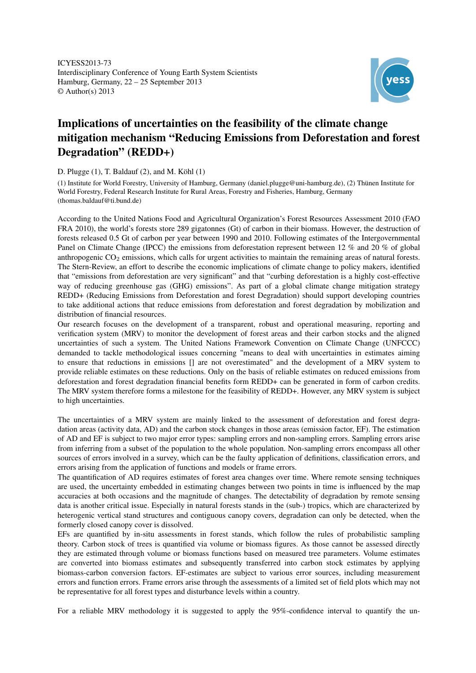ICYESS2013-73 Interdisciplinary Conference of Young Earth System Scientists Hamburg, Germany, 22 – 25 September 2013 © Author(s) 2013



## Implications of uncertainties on the feasibility of the climate change mitigation mechanism "Reducing Emissions from Deforestation and forest Degradation" (REDD+)

D. Plugge (1), T. Baldauf (2), and M. Köhl (1)

(1) Institute for World Forestry, University of Hamburg, Germany (daniel.plugge@uni-hamburg.de), (2) Thünen Institute for World Forestry, Federal Research Institute for Rural Areas, Forestry and Fisheries, Hamburg, Germany (thomas.baldauf@ti.bund.de)

According to the United Nations Food and Agricultural Organization's Forest Resources Assessment 2010 (FAO FRA 2010), the world's forests store 289 gigatonnes (Gt) of carbon in their biomass. However, the destruction of forests released 0.5 Gt of carbon per year between 1990 and 2010. Following estimates of the Intergovernmental Panel on Climate Change (IPCC) the emissions from deforestation represent between 12 % and 20 % of global anthropogenic CO<sub>2</sub> emissions, which calls for urgent activities to maintain the remaining areas of natural forests. The Stern-Review, an effort to describe the economic implications of climate change to policy makers, identified that "emissions from deforestation are very significant" and that "curbing deforestation is a highly cost-effective way of reducing greenhouse gas (GHG) emissions". As part of a global climate change mitigation strategy REDD+ (Reducing Emissions from Deforestation and forest Degradation) should support developing countries to take additional actions that reduce emissions from deforestation and forest degradation by mobilization and distribution of financial resources.

Our research focuses on the development of a transparent, robust and operational measuring, reporting and verification system (MRV) to monitor the development of forest areas and their carbon stocks and the aligned uncertainties of such a system. The United Nations Framework Convention on Climate Change (UNFCCC) demanded to tackle methodological issues concerning "means to deal with uncertainties in estimates aiming to ensure that reductions in emissions [] are not overestimated" and the development of a MRV system to provide reliable estimates on these reductions. Only on the basis of reliable estimates on reduced emissions from deforestation and forest degradation financial benefits form REDD+ can be generated in form of carbon credits. The MRV system therefore forms a milestone for the feasibility of REDD+. However, any MRV system is subject to high uncertainties.

The uncertainties of a MRV system are mainly linked to the assessment of deforestation and forest degradation areas (activity data, AD) and the carbon stock changes in those areas (emission factor, EF). The estimation of AD and EF is subject to two major error types: sampling errors and non-sampling errors. Sampling errors arise from inferring from a subset of the population to the whole population. Non-sampling errors encompass all other sources of errors involved in a survey, which can be the faulty application of definitions, classification errors, and errors arising from the application of functions and models or frame errors.

The quantification of AD requires estimates of forest area changes over time. Where remote sensing techniques are used, the uncertainty embedded in estimating changes between two points in time is influenced by the map accuracies at both occasions and the magnitude of changes. The detectability of degradation by remote sensing data is another critical issue. Especially in natural forests stands in the (sub-) tropics, which are characterized by heterogenic vertical stand structures and contiguous canopy covers, degradation can only be detected, when the formerly closed canopy cover is dissolved.

EFs are quantified by in-situ assessments in forest stands, which follow the rules of probabilistic sampling theory. Carbon stock of trees is quantified via volume or biomass figures. As those cannot be assessed directly they are estimated through volume or biomass functions based on measured tree parameters. Volume estimates are converted into biomass estimates and subsequently transferred into carbon stock estimates by applying biomass-carbon conversion factors. EF-estimates are subject to various error sources, including measurement errors and function errors. Frame errors arise through the assessments of a limited set of field plots which may not be representative for all forest types and disturbance levels within a country.

For a reliable MRV methodology it is suggested to apply the 95%-confidence interval to quantify the un-